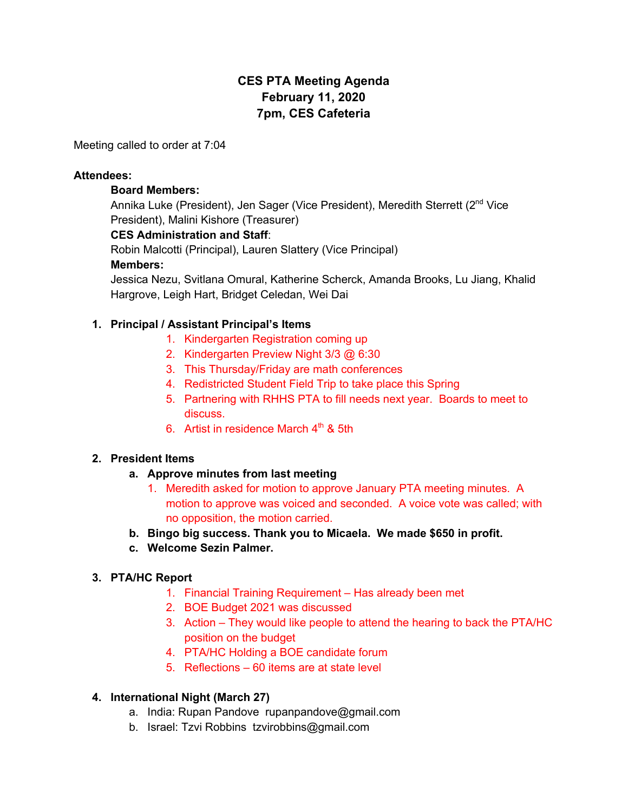# **CES PTA Meeting Agenda February 11, 2020 7pm, CES Cafeteria**

Meeting called to order at 7:04

#### **Attendees:**

#### **Board Members:**

Annika Luke (President), Jen Sager (Vice President), Meredith Sterrett (2<sup>nd</sup> Vice President), Malini Kishore (Treasurer)

#### **CES Administration and Staff**:

Robin Malcotti (Principal), Lauren Slattery (Vice Principal)

#### **Members:**

Jessica Nezu, Svitlana Omural, Katherine Scherck, Amanda Brooks, Lu Jiang, Khalid Hargrove, Leigh Hart, Bridget Celedan, Wei Dai

#### **1. Principal / Assistant Principal's Items**

- 1. Kindergarten Registration coming up
- 2. Kindergarten Preview Night 3/3 @ 6:30
- 3. This Thursday/Friday are math conferences
- 4. Redistricted Student Field Trip to take place this Spring
- 5. Partnering with RHHS PTA to fill needs next year. Boards to meet to discuss.
- 6. Artist in residence March  $4<sup>th</sup>$  & 5th

#### **2. President Items**

- **a. Approve minutes from last meeting**
	- 1. Meredith asked for motion to approve January PTA meeting minutes. A motion to approve was voiced and seconded. A voice vote was called; with no opposition, the motion carried.
- **b. Bingo big success. Thank you to Micaela. We made \$650 in profit.**
- **c. Welcome Sezin Palmer.**

#### **3. PTA/HC Report**

- 1. Financial Training Requirement Has already been met
- 2. BOE Budget 2021 was discussed
- 3. Action They would like people to attend the hearing to back the PTA/HC position on the budget
- 4. PTA/HC Holding a BOE candidate forum
- 5. Reflections 60 items are at state level

#### **4. International Night (March 27)**

- a. India: Rupan Pandove rupanpandove@gmail.com
- b. Israel: Tzvi Robbins tzvirobbins@gmail.com